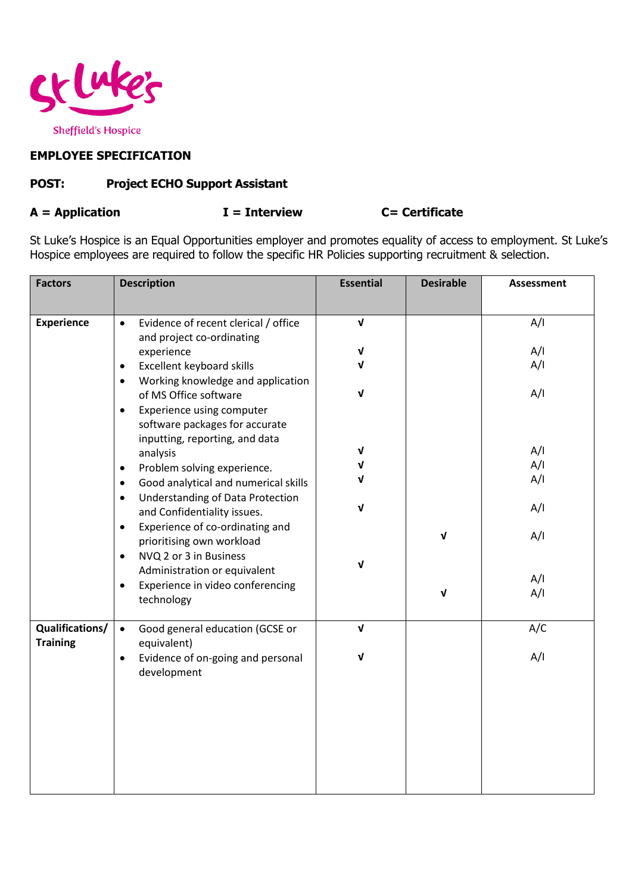

## **EMPLOYEE SPECIFICATION**

## **POST: Project ECHO Support Assistant**

## **A = Application I = Interview C= Certificate**

St Luke's Hospice is an Equal Opportunities employer and promotes equality of access to employment. St Luke's Hospice employees are required to follow the specific HR Policies supporting recruitment & selection.

| <b>Factors</b>                     | <b>Description</b>                                                                                                                                                                                                                                                                                                                                                                                                                                                                                                                                                                                                                                                                                                                              | <b>Essential</b>                                             | <b>Desirable</b>             | <b>Assessment</b>                                                         |
|------------------------------------|-------------------------------------------------------------------------------------------------------------------------------------------------------------------------------------------------------------------------------------------------------------------------------------------------------------------------------------------------------------------------------------------------------------------------------------------------------------------------------------------------------------------------------------------------------------------------------------------------------------------------------------------------------------------------------------------------------------------------------------------------|--------------------------------------------------------------|------------------------------|---------------------------------------------------------------------------|
|                                    |                                                                                                                                                                                                                                                                                                                                                                                                                                                                                                                                                                                                                                                                                                                                                 |                                                              |                              |                                                                           |
| <b>Experience</b>                  | Evidence of recent clerical / office<br>$\bullet$<br>and project co-ordinating<br>experience<br>Excellent keyboard skills<br>$\bullet$<br>Working knowledge and application<br>$\bullet$<br>of MS Office software<br>Experience using computer<br>$\bullet$<br>software packages for accurate<br>inputting, reporting, and data<br>analysis<br>Problem solving experience.<br>$\bullet$<br>Good analytical and numerical skills<br>$\bullet$<br>Understanding of Data Protection<br>$\bullet$<br>and Confidentiality issues.<br>Experience of co-ordinating and<br>$\bullet$<br>prioritising own workload<br>NVQ 2 or 3 in Business<br>$\bullet$<br>Administration or equivalent<br>Experience in video conferencing<br>$\bullet$<br>technology | $\sqrt{ }$<br>$\mathbf v$<br>ν<br>V<br>V<br>ν<br>ν<br>ν<br>ν | $\mathbf{V}$<br>$\mathbf{V}$ | A/I<br>A/I<br>A/I<br>A/I<br>A/I<br>A/I<br>A/I<br>A/I<br>A/I<br>A/I<br>A/I |
|                                    |                                                                                                                                                                                                                                                                                                                                                                                                                                                                                                                                                                                                                                                                                                                                                 |                                                              |                              |                                                                           |
| Qualifications/<br><b>Training</b> | Good general education (GCSE or<br>$\bullet$<br>equivalent)                                                                                                                                                                                                                                                                                                                                                                                                                                                                                                                                                                                                                                                                                     | $\sqrt{ }$                                                   |                              | A/C                                                                       |
|                                    | Evidence of on-going and personal<br>$\bullet$<br>development                                                                                                                                                                                                                                                                                                                                                                                                                                                                                                                                                                                                                                                                                   | $\mathbf v$                                                  |                              | A/I                                                                       |